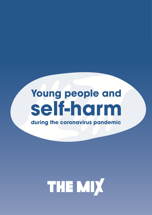# Young people and<br>Self-harm

during the coronavirus pandemic

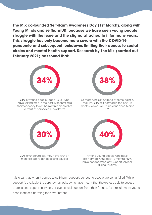**The Mix co-founded Self-Harm Awareness Day (1st March), along with Young Minds and selfharmUK, because we have seen young people struggle with the issue and the stigma attached to it for many years. This struggle has only become more severe with the COVID-19 pandemic and subsequent lockdowns limiting their access to social circles and mental health support. Research by The Mix (carried out February 2021) has found that:** 



**34%** of young people (aged 16-25) who have self-harmed in the past 12 months said their tendency to self-harm has increased as a result of coronavirus lockdowns



Of those who self-harmed at some point in their life, **38%** self-harmed in the past 12 months, which is a 5% increase since March 2020



**30%** of under 25s say they have found it more difficult to get access to services



Among young people who have self-harmed in the past 12 months, **40%**  have not accessed any support services during this time

It is clear that when it comes to self-harm support, our young people are being failed. While support is available, the coronavirus lockdowns have meant that they're less able to access professional support services, or even social support from their friends. As a result, more young people are self-harming than ever before.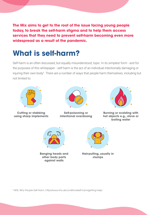**The Mix aims to get to the root of the issue facing young people today, to break the self-harm stigma and to help them access services that they need to prevent self-harm becoming even more widespread as a result of the pandemic.** 

## **What is self-harm?**

Self-harm is an often discussed, but equally misunderstood, topic. In its simplest form - and for the purposes of this whitepaper - self-harm is the act of an individual intentionally damaging or injuring their own body<sup>1</sup>. There are a number of ways that people harm themselves, including but not limited to:



**Cutting or stabbing using sharp implements**



**Self-poisoning or intentional overdosing**



**Burning or scalding with hot objects e.g., stove or boiling water** 



**Banging heads and other body parts against walls**



**Hair-pulling, usually in clumps**

1 NHS, Why People Self-Harm, https:⁄⁄www.nhs.uk⁄conditions⁄self-harm⁄getting-help⁄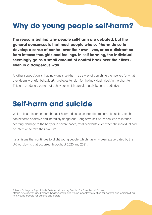# **Why do young people self-harm?**

**The reasons behind why people self-harm are debated, but the general consensus is that most people who self-harm do so to develop a sense of control over their own lives, or as a distraction from intense thoughts and feelings. In self-harming, the individual seemingly gains a small amount of control back over their lives even in a dangerous way.**

Another supposition is that individuals self-harm as a way of punishing themselves for what they deem wrongful behaviour². It relieves tension for the individual, albeit in the short term. This can produce a pattern of behaviour, which can ultimately become addictive.

## **Self-harm and suicide**

While it is a misconception that self-harm indicates an intention to commit suicide, self-harm can become addictive and incredibly dangerous. Long term self-harm can lead to intense scarring, damage to the body or in severe cases, fatal accidents even when the individual had no intention to take their own life.

It's an issue that continues to blight young people, which has only been exacerbated by the UK lockdowns that occurred throughout 2020 and 2021.

 2 Royal College of Psychiatrists, Self-Harm in Young People: For Parents and Carers, https:⁄⁄www.rcpsych.ac.uk⁄mental-health⁄parents-and-young-people⁄information-for-parents-and-carers⁄self-har m-in-young-people-for-parents-and-carers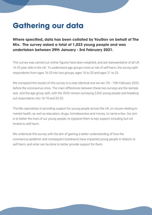## **Gathering our data**

**Where specified, data has been collated by YouGov on behalf of The Mix. The survey asked a total of 1,023 young people and was undertaken between 29th January - 3rd February 2021.** 

This survey was carried out online; figures have been weighted, and are representative of all UK 16-25 year olds in the UK. To understand age groups most at risk of self-harm, the survey split respondents from ages 16-25 into two groups; ages 16 to 20 and ages 21 to 25.

We compared the results of this survey to a near identical one we ran 7th - 19th February 2020, before the coronavirus crisis. The main differences between these two surveys are the sample size and the age group split, with the 2020 version surveying 2,002 young people and breaking out respondents into 16-19 and 20-25.

The Mix specialises in providing support for young people across the UK, on issues relating to mental health, as well as education, drugs, homelessness and money, to name a few. Our aim is to better the lives of our young people, to signpost them to key support including but not limited to self-harm.

We undertook this survey with the aim of gaining a better understanding of how the coronavirus epidemic and consequent lockdowns have impacted young people in relation to self-harm, and what can be done to better provide support for them.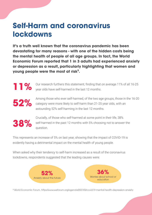## **Self-Harm and coronavirus lockdowns**

**It's a truth well known that the coronavirus pandemic has been devastating for many reasons - with one of the hidden costs being the mental health of people of all age groups. In fact, the World Economic Forum reported that 1 in 3 adults had experienced anxiety or depression as a result, particularly highlighting that women and young people were the most at risk<sup>3</sup>.** 



**11 OUR COUP TESS OUR TESS OUR FEW OUR COUP TEST** OUR TEST OUR DESCRIPTION OF A UP TO A UP TO A UP TO A UP TO A UP TO A UP TO A UP TO A UP TO A UP TO A UP TO A UP TO A UP TO A UP TO A UP TO A UP TO A UP TO A UP TO A UP TO year olds have self-harmed in the last 12 months.



Among those who ever self-harmed, of the two age groups, those in the 16-20<br>category were more likely to self-harm than 21-25 year olds, with an category were more likely to self-harm than 21-25 year olds, with an astounding 52% self-harming in the last 12 months.



Crucially, of those who self-harmed at some point in their life, 38% self-harmed in the past 12 months with 5% choosing not to answer the question.

This represents an increase of 5% on last year, showing that the impact of COVID-19 is evidently having a detrimental impact on the mental health of young people.

When asked why their tendency to self-harm increased as a result of the coronavirus lockdowns, respondents suggested that the leading causes were:



3 World Economic Forum, https:⁄⁄www.weforum.org⁄agenda⁄2021⁄02⁄covid19-mental-health-depression-anxiety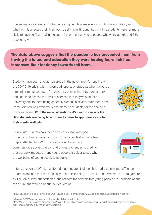The survey also looked into whether young people were in work or full-time education, and whether this affected their likeliness to self-harm. It found that full-time students were far more likely to have self-harmed in the past 12 months than young people who work, at 46% and 33% respectively.

**The data above suggests that the pandemic has prevented them from having the future and education they were hoping for, which has increased their tendency towards self-harm.** 

Students have been a forgotten group in the government's handling of the COVID-19 crisis, with widespread reports of students who are locked into unfair rental contracts for university dorms that they cannot use<sup>4</sup> and unable to access the level of services that they've paid for at university due to them being generally closed. In several statements, the Prime Minister has even attributed blame to students for the spread of the coronavirus. **With these considerations, it's clear to see why the UK's students are being failed when it comes to appropriate care for their mental wellbeing.** 

It's not just students have been so clearly disadvantaged throughout the coronavirus crisis - school age children have been hugely affected too. With homeschooling becoming commonplace across the UK, and dramatic changes to grading that severely impacted many young people, it's clear to see why the wellbeing of young people is at stake.

In fact, a report by Ofsted has found that repeated isolation has had a detrimental effect on progression<sup>5</sup>, and that the efficiency of home learning is difficult to determine. The data gathered by The Mix survey supports this, and reflects the attitude that young people are uncertain about the future and worried about their education.

4 BBC, Students Pledge Rent Strike Over Unused Uni Rooms, https:⁄⁄www.bbc.co.uk⁄news⁄education-55576471

5 Gov.uk OFTSED report into isolation and children's education:

https://www.gov.uk/government/news/covid-19-isolation-having-detrimental-impact-on-childrens-education-a nd-welfare-particularly-the-most-vulnerable



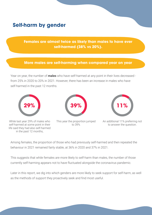## **Self-harm by gender**

#### **Females are almost twice as likely than males to have ever self-harmed (38% vs 20%).**

#### **More males are self-harming when compared year on year**

Year on year, the number of **males** who have self-harmed at any point in their lives decreased from 25% in 2020 to 20% in 2021. However, there has been an increase in males who have self-harmed in the past 12 months.



While last year 29% of males who self-harmed at some point in their life said they had also self-harmed in the past 12 months,



This year the proportion jumped to 39%



An additional 11% preferring not to answer the question.

Among females, the proportion of those who had previously self-harmed and then repeated the behaviour in 2021 remained fairly stable, at 36% in 2020 and 37% in 2021.

This suggests that while females are more likely to self-harm than males, the number of those currently self-harming appears not to have fluctuated alongside the coronavirus pandemic.

Later in this report, we dig into which genders are more likely to seek support for self-harm, as well as the methods of support they proactively seek and find most useful.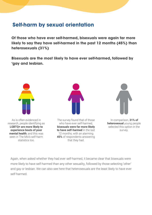## **Self-harm by sexual orientation**

**Of those who have ever self-harmed, bisexuals were again far more likely to say they have self-harmed in the past 12 months (45%) than heterosexuals (31%)**

**Bisexuals are the most likely to have ever self-harmed, followed by 'gay and lesbian.** 



Again, when asked whether they had ever self-harmed, it became clear that bisexuals were more likely to have self-harmed than any other sexuality, followed by those selecting 'other' and gay or lesbian. We can also see here that heterosexuals are the least likely to have ever self-harmed.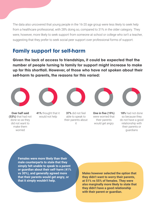The data also uncovered that young people in the 16-20 age group were less likely to seek help from a healthcare professional, with 28% doing so, compared to 31% in the older category. They were, however, more likely to seek support from someone at school or college who isn't a teacher, suggesting that they prefer to seek social peer support over professional forms of support.

## **Family support for self-harm**

**Given the lack of access to friendships, it could be expected that the number of people turning to family for support might increase to make up for this shortfall. However, of those who have not spoken about their self-harm to parents, the reasons for this varied:** 



**Over half said (53%)** that had not done so as they did not want to make them worried



**41%** thought that it would not help



**37%** did not feel able to speak to their parents about it



**One in five (19%)** were worried that their parents would get angry



**18%** had not done so because they do not have a good relationship with their parents or guardians

**Females were more likely than their male counterparts to state that they simply felt unable to speak to a parent or guardian about their self-harm (41% vs 30%), and generally agreed more that their parents would get angry, or that it simply wouldn't help.** 

**Males however selected the option that they didn't want to worry their parents, at 51% vs 55% of females. They were also marginally more likely to state that they didn't have a good relationship with their parent or guardian.**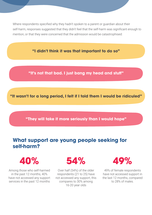Where respondents specified why they hadn't spoken to a parent or guardian about their self-harm, responses suggested that they didn't feel that the self-harm was significant enough to mention, or that they were concerned that the admission would be catastrophised:

**"I didn't think it was that important to do so"**

**"It's not that bad. I just bang my head and stu"**

**"It wasn't for a long period, I felt if I told them I would be ridiculed"**

**"They will take it more seriously than I would hope"**

## **What support are young people seeking for self-harm?**

# **40%**

Among those who self-harmed in the past 12 months, 40% have not accessed any support services in the past 12 months

# **54%**

Over half (54%) of the older respondents (21 to 25) have not accessed any support, this compares to 30% among 16-20 year olds



49% of female respondents have not accessed support in the last 12 months, compared to 28% of males.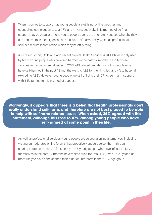When it comes to support that young people are utilising, online websites and counselling came out on top, at 17% and 14% respectively. This method of self-harm support may be popular among young people due to the anonymity aspect, whereby they can conceal their identity online and discuss self-harm freely, whereas professional services require identification which may be off-putting.

As a result of this, Child and Adolescent Mental Health Services (CAMHS) were only used by 6% of young people who have self-harmed in the past 12 months, despite these services remaining open (albeit with COVID-19 related limitations). 5% of people who have self-harmed in the past 12 months went to A&E for their injuries, and 4% to hospital (excluding A&E). However, young people are still utilising their GP for self-harm support, with 14% turning to this method of support.

**Worryingly, it appears that there is a belief that health professionals don't really understand self-harm, and therefore are not best placed to be able to help with self-harm related issues. When asked, 36% agreed with this statement, although this rose to 47% among young people who have self-harmed at some point in their life.**

As well as professional services, young people are selecting online alternatives, including visiting unmoderated online forums that proactively encourage self-harm through sharing photos or videos. In fact, nearly 1 in 5 young people who have inflicted injury on themselves in the past 12 months have visited such forums (17%), with 16-20 year olds more likely to have done so than their older counterparts in the 21-25 age group.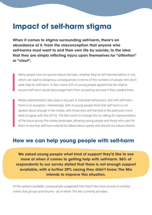## **Impact of self-harm stigma**

**When it comes to stigma surrounding self-harm, there's an abundance of it. From the misconception that anyone who self-harms must want to end their own life by suicide, to the idea that they are simply inflicting injury upon themselves for "attention" or "clout".** 

Many people have an opinion about the topic, whether they've self-harmed before or not, which can lead to dangerous consequences in terms of the numbers of people who don't seek help for self-harm. In fact, some 42% of young people agreed that the stigma around self-harm would discourage them from accessing services if they needed them.

Media representation also plays a big part in individual behaviours, and with self-harm there is no exception. Interestingly, 63% of young people think that self-harm is not spoken about enough in the media, with those who self-harmed in the past even more likely to agree with this (67%). The Mix wants to change this by calling for representation of the issue across the media landscape, allowing young people and those who care for them to see that self-harm should be talked about openly and should not induce shame.

#### **How we can help young people with self-harm**

**We asked young people what kind of support they'd like to see more of when it comes to getting help with self-harm. 56% of respondents to our survey stated that there is not enough support available, with a further 29% saying they didn't know. The Mix intends to improve this situation.** 

Of the options available, young people suggested that they'd like more access to articles, online chat groups and forums - all of which The Mix currently provides.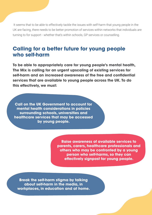It seems that to be able to effectively tackle the issues with self-harm that young people in the UK are facing, there needs to be better promotion of services within networks that individuals are turning to for support - whether that's within schools, GP services or counselling.

## **Calling for a better future for young people who self-harm**

**To be able to appropriately care for young people's mental health, The Mix is calling for an urgent upscaling of existing services for self-harm and an increased awareness of the free and confidential services that are available to young people across the UK. To do**  this effectively, we must:

**Call on the UK Government to account for mental health considerations in policies surrounding schools, universities and healthcare services that may be accessed by young people.**

> **Raise awareness of available services to parents, carers, healthcare professionals and others who may be confronted by a young person who self-harms, so they can**  effectively signpost for young people.

**Break the self-harm stigma by talking about self-harm in the media, in workplaces, in education and at home.**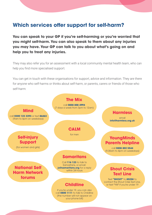## **Which services offer support for self-harm?**

**You can speak to your GP if you're self-harming or you're worried that you might self-harm. You can also speak to them about any injuries you may have. Your GP can talk to you about what's going on and help you to treat any injuries.** 

They may also refer you for an assessment with a local community mental health team, who can help you find more specialised support.

You can get in touch with these organisations for support, advice and information. They are there for anyone who self-harms or thinks about self-harm, or parents, carers or friends of those who self-harm:

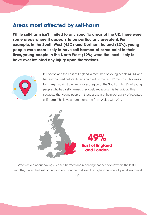#### **Areas most affected by self-harm**

**While self-harm isn't limited to any specific areas of the UK, there were some areas where it appears to be particularly prevalent. For example, in the South West (42%) and Northern Ireland (33%), young people were more likely to have self-harmed at some point in their lives, young people in the North West (19%) were the least likely to have ever inflicted any injury upon themselves.** 



In London and the East of England, almost half of young people (49%) who had self-harmed before did so again within the last 12 months. This was a tall margin against the next closest region of the South, with 43% of young people who had self-harmed previously repeating this behaviour. This suggests that young people in these areas are the most at risk of repeated self-harm. The lowest numbers came from Wales with 22%.



When asked about having ever self-harmed and repeating that behaviour within the last 12 months, it was the East of England and London that saw the highest numbers by a tall margin at 49%.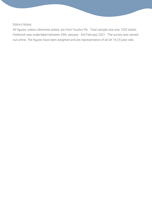Editor's Notes:

All figures, unless otherwise stated, are from YouGov Plc. Total sample size was 1023 adults. Fieldwork was undertaken between 29th January - 3rd February 2021. The survey was carried out online. The figures have been weighted and are representative of all UK 16-25 year olds.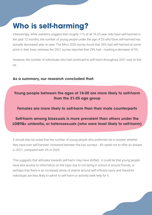# **Who is self-harming?**

Interestingly, while statistics suggest that roughly 11% of all 16-25 year olds have self-harmed in the past 12 months, the number of young people under the age of 25 who have self-harmed has actually decreased year on year. The Mix's 2020 survey found that 34% had self-harmed at some point in their lives, whereas the 2021 survey reported that 29% had - marking a decrease of 5%.

However, the number of individuals who had continued to self-harm throughout 2021 was on the up.

#### **As a summary, our research concluded that:**

#### **Young people between the ages of 16-20 are more likely to self-harm than the 21-25 age group**

**Females are more likely to self-harm than their male counterparts**

**Self-harm among bisexuals is more prevalent than others under the LGBTQ+ umbrella, or heterosexuals (who were least likely to self-harm)**

It should also be noted that the number of young people who preferred not to answer whether they have ever self-harmed increased between the two surveys - 4% opted not to offer an answer in 2021, compared with 3% in 2020.

This suggests that attitudes towards self-harm may have shifted - it could be that young people have less access to information on the topic due to not being in school or around friends, or perhaps that there is an increased sense of shame around self-inflicted injury and therefore individuals are less likely to admit to self-harm or actively seek help for it.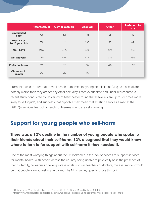|                                        | <b>Heterosexual</b> | <b>Gay or Lesbian</b> | <b>Bisexual</b> | <b>Other</b>             | <b>Prefer not to</b><br>say |
|----------------------------------------|---------------------|-----------------------|-----------------|--------------------------|-----------------------------|
| <b>Unweighted</b><br><b>base</b>       | 708                 | 62                    | 135             | 25                       | 62                          |
| <b>Base: All UK</b><br>16-25 year olds | 708                 | 62                    | 135             | 25                       | 62                          |
| Yes, I have                            | 23%                 | 41%                   | 54%             | 44%                      | 25%                         |
| No, I haven't                          | 72%                 | 54%                   | 43%             | 52%                      | 58%                         |
| Prefer not to say                      | 3%                  | 3%                    | 2%              | 4%                       | 16%                         |
| Chose not to<br><b>answer</b>          | 2%                  | 2%                    | 1%              | $\overline{\phantom{a}}$ | $\qquad \qquad =$           |

From this, we can infer that mental health outcomes for young people identifying as bisexual are notably worse than they are for any other sexuality. Often overlooked and under-represented, a recent study conducted by University of Manchester found that bisexuals are up to six-times more likely to self-injure<sup>6</sup>, and suggests that biphobia may mean that existing services aimed at the LGBTQ+ services feel out of reach for bisexuals who are self-harming.

## **Support for young people who self-harm**

#### **There was a 12% decline in the number of young people who spoke to their friends about their self-harm. 32% disagreed that they would know where to turn to for support with self-harm if they needed it.**

One of the most worrying things about the UK lockdown is the lack of access to support services for mental health. With people across the country being unable to physically be in the presence of friends, family, colleagues or even professionals such as teachers or doctors, the assumption would be that people are not seeking help - and The Mix's survey goes to prove this point.

6 University of Manchester, Bisexual People Up To Six Times More Likely to Self-Injure, https:⁄⁄www.manchester.ac.uk⁄discover⁄news⁄bisexual-people-up-to-six-times-more-likely-to-self-injure⁄